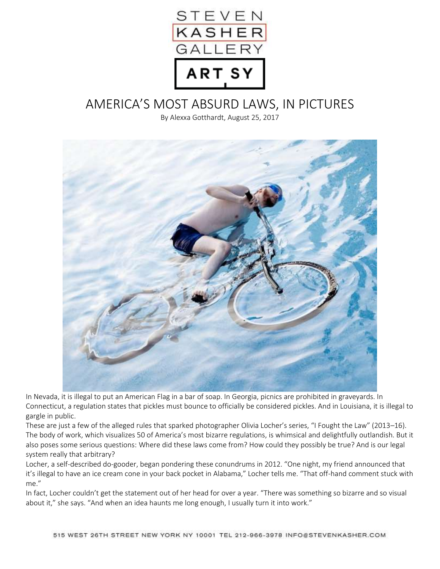

## AMERICA'S MOST ABSURD LAWS, IN PICTURES

By Alexxa Gotthardt, August 25, 2017



In Nevada, it is illegal to put an American Flag in a bar of soap. In Georgia, picnics are prohibited in graveyards. In Connecticut, a regulation states that pickles must bounce to officially be considered pickles. And in Louisiana, it is illegal to gargle in public.

These are just a few of the alleged rules that sparked photographer Olivia Locher's series, "I Fought the Law" (2013–16). The body of work, which visualizes 50 of America's most bizarre regulations, is whimsical and delightfully outlandish. But it also poses some serious questions: Where did these laws come from? How could they possibly be true? And is our legal system really that arbitrary?

Locher, a self-described do-gooder, began pondering these conundrums in 2012. "One night, my friend announced that it's illegal to have an ice cream cone in your back pocket in Alabama," Locher tells me. "That off-hand comment stuck with me."

In fact, Locher couldn't get the statement out of her head for over a year. "There was something so bizarre and so visual about it," she says. "And when an idea haunts me long enough, I usually turn it into work."